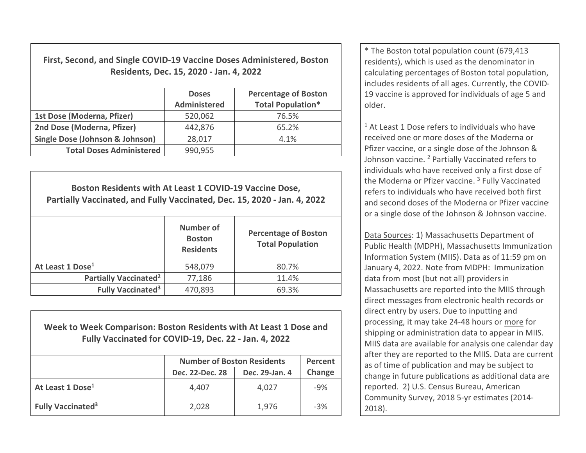| First, Second, and Single COVID-19 Vaccine Doses Administered, Boston<br>Residents, Dec. 15, 2020 - Jan. 4, 2022 |                     |                             |  |  |  |
|------------------------------------------------------------------------------------------------------------------|---------------------|-----------------------------|--|--|--|
|                                                                                                                  | <b>Doses</b>        | <b>Percentage of Boston</b> |  |  |  |
|                                                                                                                  | <b>Administered</b> | <b>Total Population*</b>    |  |  |  |
| 1st Dose (Moderna, Pfizer)                                                                                       | 520,062             | 76.5%                       |  |  |  |
| 2nd Dose (Moderna, Pfizer)                                                                                       | 442,876             | 65.2%                       |  |  |  |
| Single Dose (Johnson & Johnson)                                                                                  | 28,017              | 4.1%                        |  |  |  |
| <b>Total Doses Administered</b>                                                                                  | 990,955             |                             |  |  |  |

| Boston Residents with At Least 1 COVID-19 Vaccine Dose,<br>Partially Vaccinated, and Fully Vaccinated, Dec. 15, 2020 - Jan. 4, 2022 |                                                |                                                        |  |  |  |
|-------------------------------------------------------------------------------------------------------------------------------------|------------------------------------------------|--------------------------------------------------------|--|--|--|
|                                                                                                                                     | Number of<br><b>Boston</b><br><b>Residents</b> | <b>Percentage of Boston</b><br><b>Total Population</b> |  |  |  |
| At Least 1 Dose <sup>1</sup>                                                                                                        | 548,079                                        | 80.7%                                                  |  |  |  |
| <b>Partially Vaccinated<sup>2</sup></b>                                                                                             | 77,186                                         | 11.4%                                                  |  |  |  |
| <b>Fully Vaccinated<sup>3</sup></b>                                                                                                 | 470,893                                        | 69.3%                                                  |  |  |  |

**Week to Week Comparison: Boston Residents with At Least 1 Dose andFully Vaccinated for COVID‐19, Dec. 22 ‐ Jan. 4, 2022**

|                               | <b>Number of Boston Residents</b> | Percent        |        |
|-------------------------------|-----------------------------------|----------------|--------|
|                               | Dec. 22-Dec. 28                   | Dec. 29-Jan. 4 | Change |
| At Least 1 Dose <sup>1</sup>  | 4,407                             | 4,027          | $-9%$  |
| Fully Vaccinated <sup>3</sup> | 2,028                             | 1,976          | $-3%$  |

\* The Boston total population count (679,413 residents), which is used as the denominator in calculating percentages of Boston total population, includes residents of all ages. Currently, the COVID‐ 19 vaccine is approved for individuals of age 5 andolder.

 $1$  At Least 1 Dose refers to individuals who have received one or more doses of the Moderna or Pfizer vaccine, or <sup>a</sup> single dose of the Johnson & Johnson vaccine. <sup>2</sup> Partially Vaccinated refers to individuals who have received only <sup>a</sup> first dose of the Moderna or Pfizer vaccine. <sup>3</sup> Fully Vaccinated refers to individuals who have received both first and second doses of the Moderna or Pfizer vaccine, or a single dose of the Johnson & Johnson vaccine.

Data Sources: 1) Massachusetts Department of Public Health (MDPH), Massachusetts Immunization Information System (MIIS). Data as of 11:59 pm on January 4, 2022. Note from MDPH: Immunization data from most (but not all) providersin Massachusetts are reported into the MIIS through direct messages from electronic health records or direct entry by users. Due to inputting and processing, it may take 24‐48 hours or more for shipping or administration data to appear in MIIS. MIIS data are available for analysis one calendar day after they are reported to the MIIS. Data are current as of time of publication and may be subject to change in future publications as additional data are reported. 2) U.S. Census Bureau, American Community Survey, 2018 5‐yr estimates (2014‐ 2018).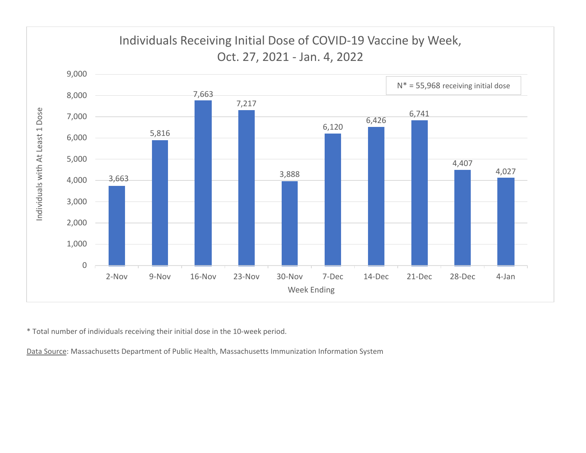

\* Total number of individuals receiving their initial dose in the 10‐week period.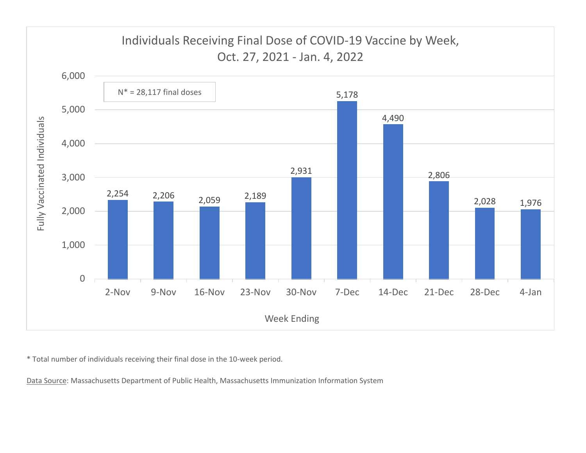

\* Total number of individuals receiving their final dose in the 10‐week period.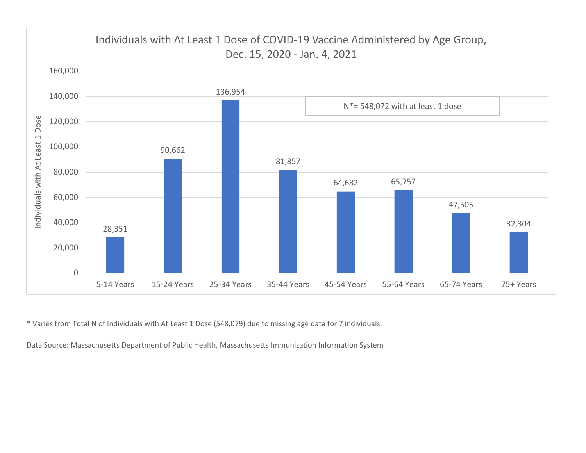

\* Varies from Total N of Individuals with At Least 1 Dose (548,079) due to missing age data for 7 individuals.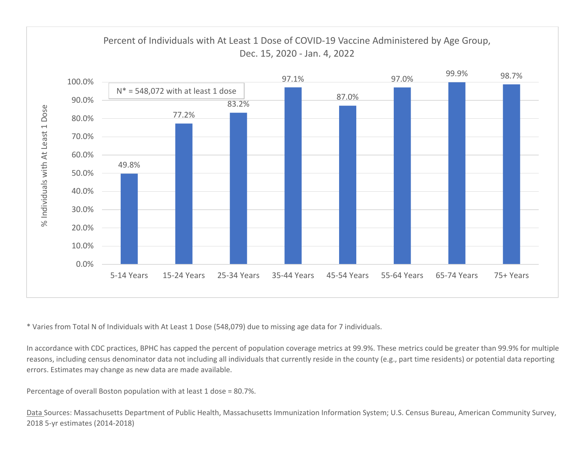

\* Varies from Total N of Individuals with At Least 1 Dose (548,079) due to missing age data for 7 individuals.

In accordance with CDC practices, BPHC has capped the percent of population coverage metrics at 99.9%. These metrics could be greater than 99.9% for multiple reasons, including census denominator data not including all individuals that currently reside in the county (e.g., part time residents) or potential data reporting errors. Estimates may change as new data are made available.

Percentage of overall Boston population with at least 1 dose <sup>=</sup> 80.7%.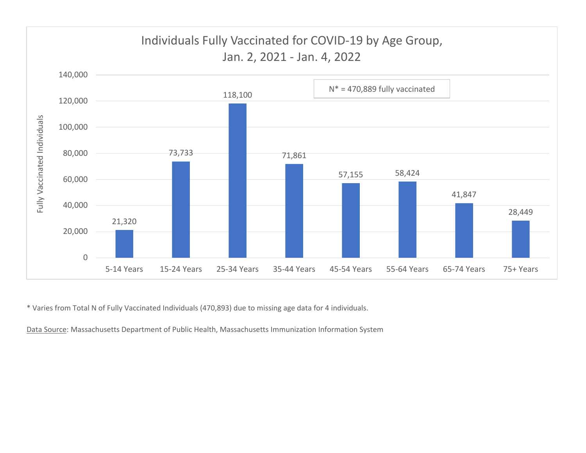

\* Varies from Total N of Fully Vaccinated Individuals (470,893) due to missing age data for 4 individuals.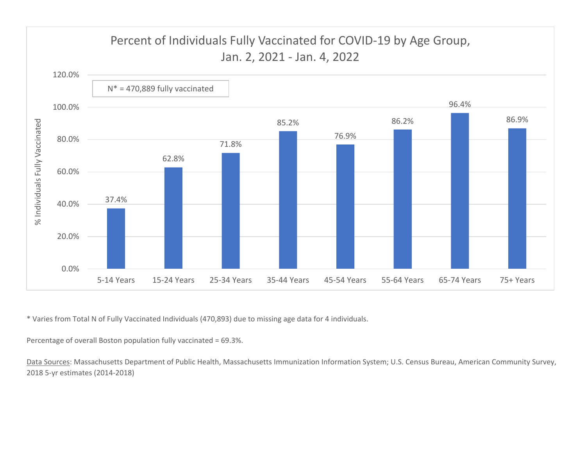

\* Varies from Total N of Fully Vaccinated Individuals (470,893) due to missing age data for 4 individuals.

Percentage of overall Boston population fully vaccinated <sup>=</sup> 69.3%.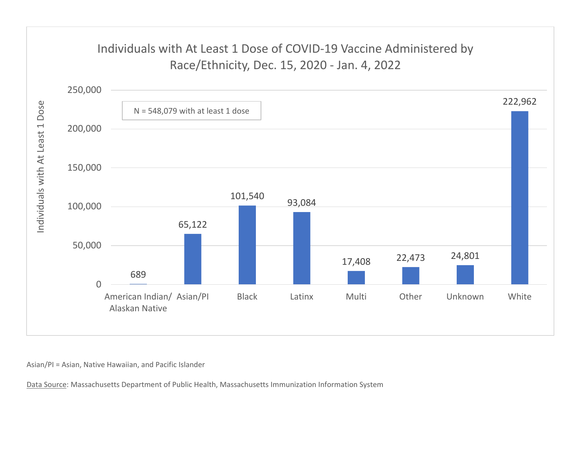## Individuals with At Least 1 Dose of COVID‐19 Vaccine Administered by Race/Ethnicity, Dec. 15, 2020 ‐ Jan. 4, 2022



Asian/PI <sup>=</sup> Asian, Native Hawaiian, and Pacific Islander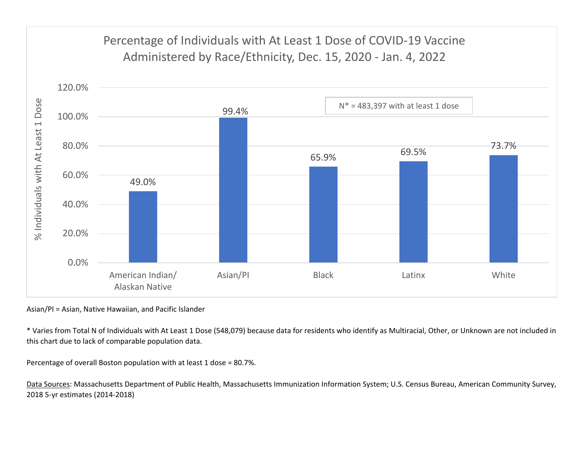

Asian/PI <sup>=</sup> Asian, Native Hawaiian, and Pacific Islander

\* Varies from Total N of Individuals with At Least 1 Dose (548,079) because data for residents who identify as Multiracial, Other, or Unknown are not included in this chart due to lack of comparable population data.

Percentage of overall Boston population with at least 1 dose <sup>=</sup> 80.7%.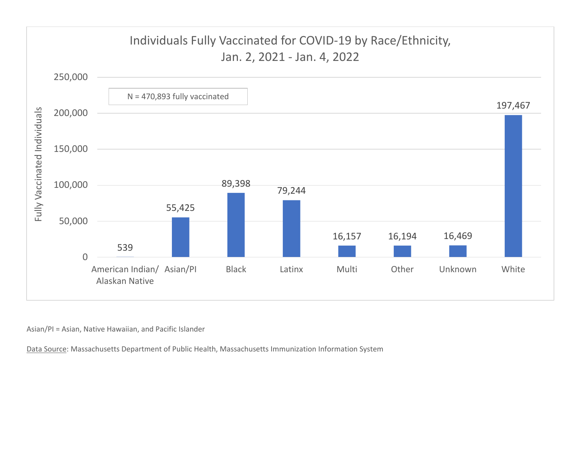

Asian/PI <sup>=</sup> Asian, Native Hawaiian, and Pacific Islander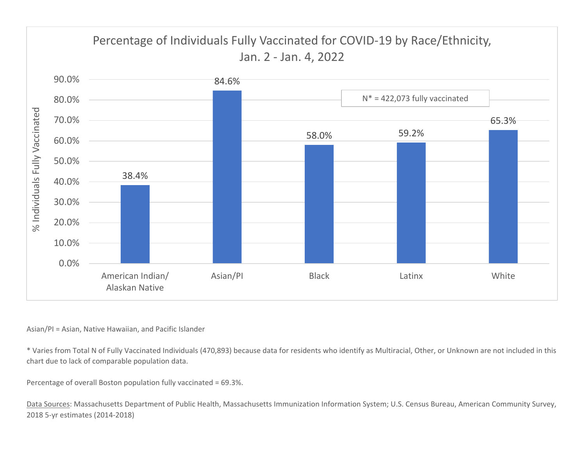

## Asian/PI <sup>=</sup> Asian, Native Hawaiian, and Pacific Islander

\* Varies from Total N of Fully Vaccinated Individuals (470,893) because data for residents who identify as Multiracial, Other, or Unknown are not included in this chart due to lack of comparable population data.

Percentage of overall Boston population fully vaccinated <sup>=</sup> 69.3%.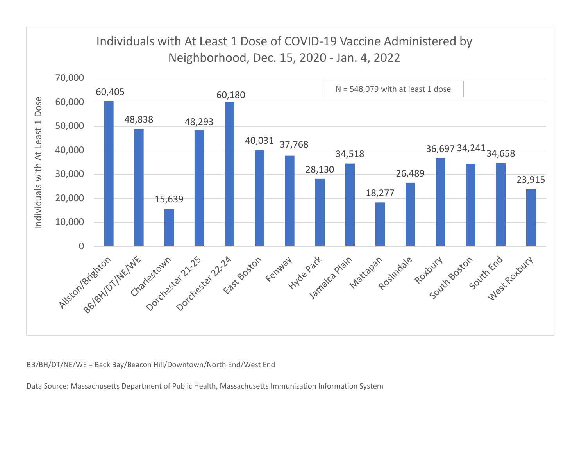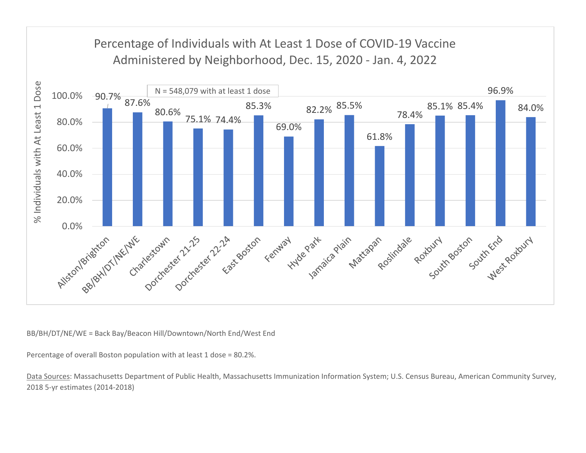

Percentage of overall Boston population with at least 1 dose <sup>=</sup> 80.2%.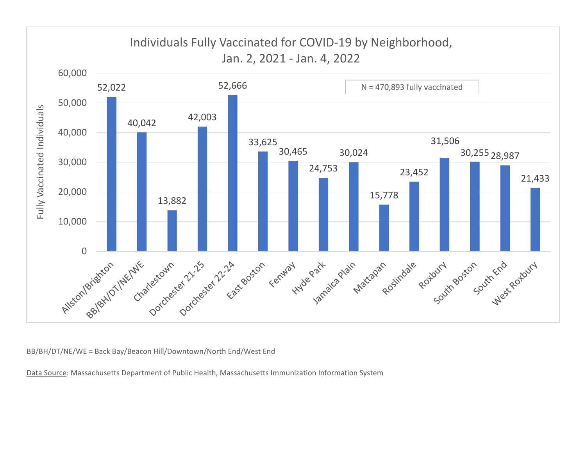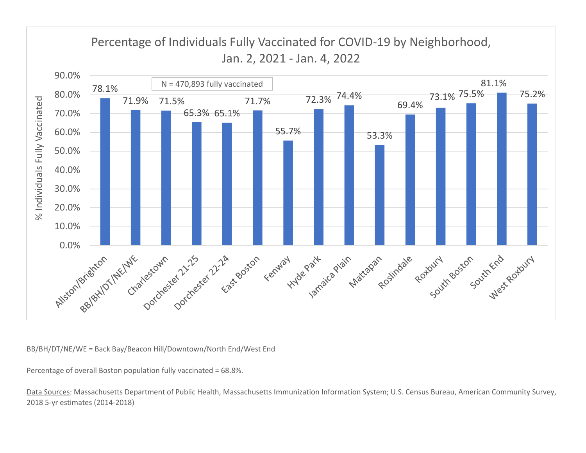

Percentage of overall Boston population fully vaccinated <sup>=</sup> 68.8%.